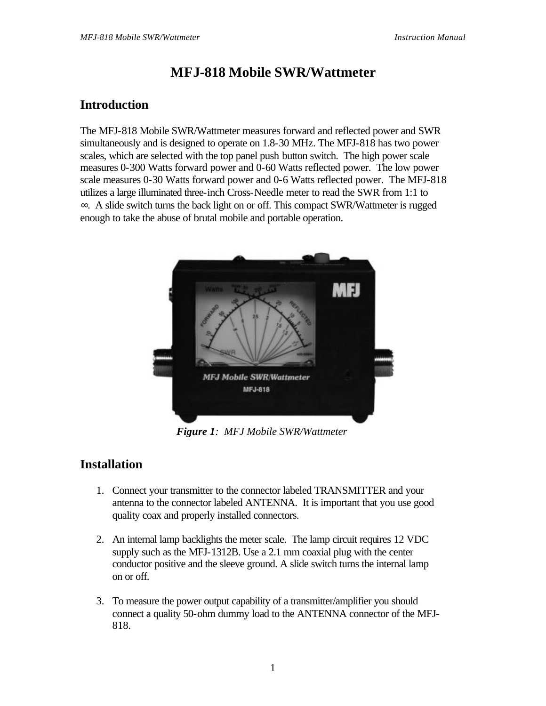# **MFJ-818 Mobile SWR/Wattmeter**

# **Introduction**

The MFJ-818 Mobile SWR/Wattmeter measures forward and reflected power and SWR simultaneously and is designed to operate on 1.8-30 MHz. The MFJ-818 has two power scales, which are selected with the top panel push button switch. The high power scale measures 0-300 Watts forward power and 0-60 Watts reflected power. The low power scale measures 0-30 Watts forward power and 0-6 Watts reflected power. The MFJ-818 utilizes a large illuminated three-inch Cross-Needle meter to read the SWR from 1:1 to ∞. A slide switch turns the back light on or off. This compact SWR/Wattmeter is rugged enough to take the abuse of brutal mobile and portable operation.



*Figure 1: MFJ Mobile SWR/Wattmeter*

### **Installation**

- 1. Connect your transmitter to the connector labeled TRANSMITTER and your antenna to the connector labeled ANTENNA. It is important that you use good quality coax and properly installed connectors.
- 2. An internal lamp backlights the meter scale. The lamp circuit requires 12 VDC supply such as the MFJ-1312B. Use a 2.1 mm coaxial plug with the center conductor positive and the sleeve ground. A slide switch turns the internal lamp on or off.
- 3. To measure the power output capability of a transmitter/amplifier you should connect a quality 50-ohm dummy load to the ANTENNA connector of the MFJ-818.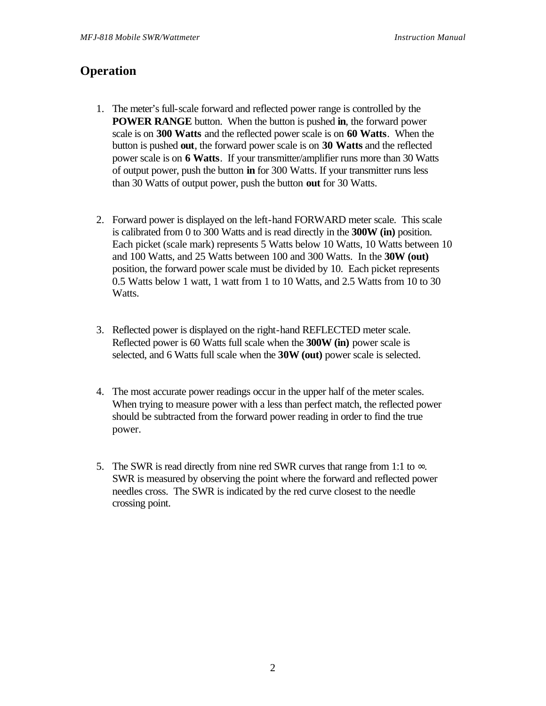### **Operation**

- 1. The meter's full-scale forward and reflected power range is controlled by the **POWER RANGE** button. When the button is pushed **in**, the forward power scale is on **300 Watts** and the reflected power scale is on **60 Watts**. When the button is pushed **out**, the forward power scale is on **30 Watts** and the reflected power scale is on **6 Watts**. If your transmitter/amplifier runs more than 30 Watts of output power, push the button **in** for 300 Watts. If your transmitter runs less than 30 Watts of output power, push the button **out** for 30 Watts.
- 2. Forward power is displayed on the left-hand FORWARD meter scale. This scale is calibrated from 0 to 300 Watts and is read directly in the **300W (in)** position. Each picket (scale mark) represents 5 Watts below 10 Watts, 10 Watts between 10 and 100 Watts, and 25 Watts between 100 and 300 Watts. In the **30W (out)** position, the forward power scale must be divided by 10. Each picket represents 0.5 Watts below 1 watt, 1 watt from 1 to 10 Watts, and 2.5 Watts from 10 to 30 Watts.
- 3. Reflected power is displayed on the right-hand REFLECTED meter scale. Reflected power is 60 Watts full scale when the **300W (in)** power scale is selected, and 6 Watts full scale when the **30W (out)** power scale is selected.
- 4. The most accurate power readings occur in the upper half of the meter scales. When trying to measure power with a less than perfect match, the reflected power should be subtracted from the forward power reading in order to find the true power.
- 5. The SWR is read directly from nine red SWR curves that range from 1:1 to  $\infty$ . SWR is measured by observing the point where the forward and reflected power needles cross. The SWR is indicated by the red curve closest to the needle crossing point.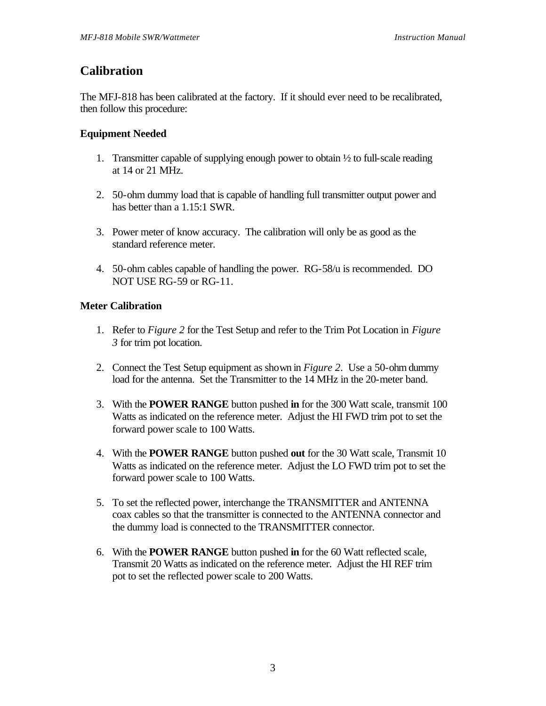### **Calibration**

The MFJ-818 has been calibrated at the factory. If it should ever need to be recalibrated, then follow this procedure:

#### **Equipment Needed**

- 1. Transmitter capable of supplying enough power to obtain  $\frac{1}{2}$  to full-scale reading at 14 or 21 MHz.
- 2. 50-ohm dummy load that is capable of handling full transmitter output power and has better than a 1.15:1 SWR.
- 3. Power meter of know accuracy. The calibration will only be as good as the standard reference meter.
- 4. 50-ohm cables capable of handling the power. RG-58/u is recommended. DO NOT USE RG-59 or RG-11.

#### **Meter Calibration**

- 1. Refer to *Figure 2* for the Test Setup and refer to the Trim Pot Location in *Figure 3* for trim pot location.
- 2. Connect the Test Setup equipment as shown in *Figure 2*. Use a 50-ohm dummy load for the antenna. Set the Transmitter to the 14 MHz in the 20-meter band.
- 3. With the **POWER RANGE** button pushed **in** for the 300 Watt scale, transmit 100 Watts as indicated on the reference meter. Adjust the HI FWD trim pot to set the forward power scale to 100 Watts.
- 4. With the **POWER RANGE** button pushed **out** for the 30 Watt scale, Transmit 10 Watts as indicated on the reference meter. Adjust the LO FWD trim pot to set the forward power scale to 100 Watts.
- 5. To set the reflected power, interchange the TRANSMITTER and ANTENNA coax cables so that the transmitter is connected to the ANTENNA connector and the dummy load is connected to the TRANSMITTER connector.
- 6. With the **POWER RANGE** button pushed **in** for the 60 Watt reflected scale, Transmit 20 Watts as indicated on the reference meter. Adjust the HI REF trim pot to set the reflected power scale to 200 Watts.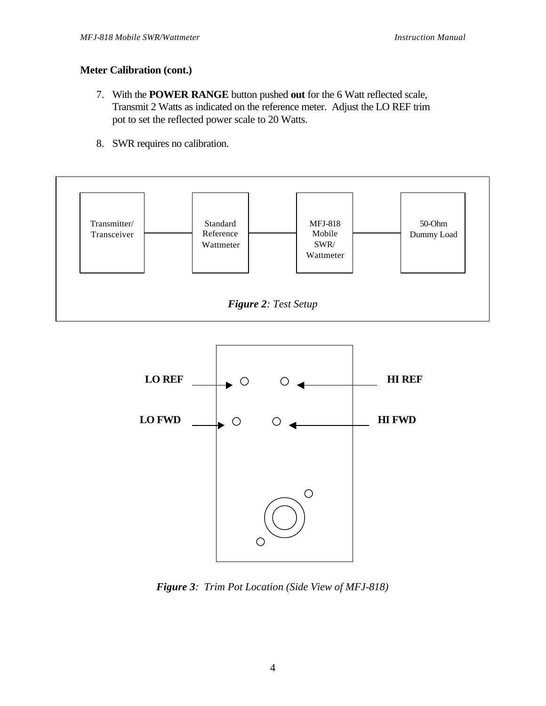#### **Meter Calibration (cont.)**

- 7. With the **POWER RANGE** button pushed **out** for the 6 Watt reflected scale, Transmit 2 Watts as indicated on the reference meter. Adjust the LO REF trim pot to set the reflected power scale to 20 Watts.
- 8. SWR requires no calibration.





*Figure 3: Trim Pot Location (Side View of MFJ-818)*